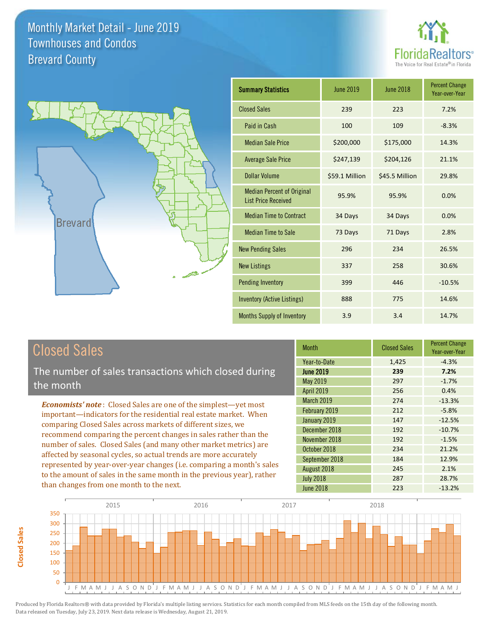



| <b>Summary Statistics</b>                                       | <b>June 2019</b> | <b>June 2018</b> | <b>Percent Change</b><br>Year-over-Year |
|-----------------------------------------------------------------|------------------|------------------|-----------------------------------------|
| <b>Closed Sales</b>                                             | 239              | 223              | 7.2%                                    |
| Paid in Cash                                                    | 100              | 109              | $-8.3%$                                 |
| <b>Median Sale Price</b>                                        | \$200,000        | \$175,000        | 14.3%                                   |
| <b>Average Sale Price</b>                                       | \$247,139        | \$204,126        | 21.1%                                   |
| <b>Dollar Volume</b>                                            | \$59.1 Million   | \$45.5 Million   | 29.8%                                   |
| <b>Median Percent of Original</b><br><b>List Price Received</b> | 95.9%            | 95.9%            | 0.0%                                    |
| <b>Median Time to Contract</b>                                  | 34 Days          | 34 Days          | 0.0%                                    |
| <b>Median Time to Sale</b>                                      | 73 Days          | 71 Days          | 2.8%                                    |
| <b>New Pending Sales</b>                                        | 296              | 234              | 26.5%                                   |
| <b>New Listings</b>                                             | 337              | 258              | 30.6%                                   |
| <b>Pending Inventory</b>                                        | 399              | 446              | $-10.5%$                                |
| <b>Inventory (Active Listings)</b>                              | 888              | 775              | 14.6%                                   |
| <b>Months Supply of Inventory</b>                               | 3.9              | 3.4              | 14.7%                                   |

## Closed Sales

The number of sales transactions which closed during the month

*Economists' note* : Closed Sales are one of the simplest—yet most important—indicators for the residential real estate market. When comparing Closed Sales across markets of different sizes, we recommend comparing the percent changes in sales rather than the number of sales. Closed Sales (and many other market metrics) are affected by seasonal cycles, so actual trends are more accurately represented by year-over-year changes (i.e. comparing a month's sales to the amount of sales in the same month in the previous year), rather than changes from one month to the next.

| <b>Month</b>      | <b>Closed Sales</b> | <b>Percent Change</b><br>Year-over-Year |
|-------------------|---------------------|-----------------------------------------|
| Year-to-Date      | 1,425               | $-4.3%$                                 |
| <b>June 2019</b>  | 239                 | 7.2%                                    |
| May 2019          | 297                 | $-1.7%$                                 |
| <b>April 2019</b> | 256                 | 0.4%                                    |
| March 2019        | 274                 | $-13.3%$                                |
| February 2019     | 212                 | $-5.8%$                                 |
| January 2019      | 147                 | $-12.5%$                                |
| December 2018     | 192                 | $-10.7%$                                |
| November 2018     | 192                 | $-1.5%$                                 |
| October 2018      | 234                 | 21.2%                                   |
| September 2018    | 184                 | 12.9%                                   |
| August 2018       | 245                 | 2.1%                                    |
| <b>July 2018</b>  | 287                 | 28.7%                                   |
| <b>June 2018</b>  | 223                 | $-13.2%$                                |

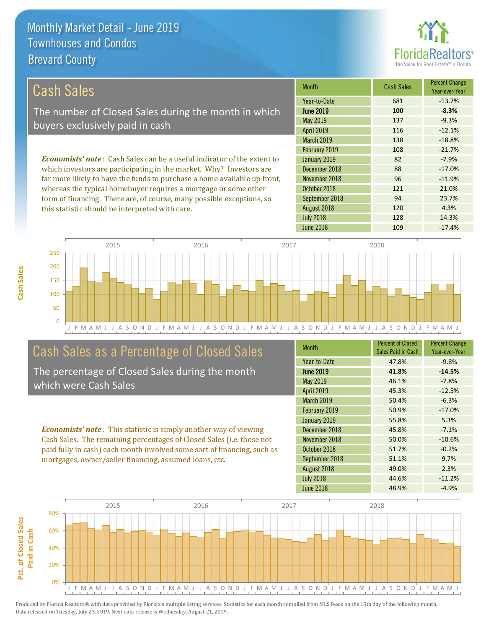

94 23.7%

120 4.3%

| Cash Sales                                                                     | <b>Month</b>      | <b>Cash Sales</b> | <b>Percent Change</b><br>Year-over-Year |
|--------------------------------------------------------------------------------|-------------------|-------------------|-----------------------------------------|
|                                                                                | Year-to-Date      | 681               | $-13.7%$                                |
| The number of Closed Sales during the month in which                           | <b>June 2019</b>  | 100               | $-8.3%$                                 |
| buyers exclusively paid in cash                                                | May 2019          | 137               | $-9.3%$                                 |
|                                                                                | <b>April 2019</b> | 116               | $-12.1%$                                |
|                                                                                | <b>March 2019</b> | 138               | $-18.8%$                                |
|                                                                                | February 2019     | 108               | $-21.7%$                                |
| <b>Economists' note:</b> Cash Sales can be a useful indicator of the extent to | January 2019      | 82                | $-7.9%$                                 |
| which investors are participating in the market. Why? Investors are            | December 2018     | 88                | $-17.0%$                                |
| far more likely to have the funds to purchase a home available up front,       | November 2018     | 96                | $-11.9%$                                |
| whereas the typical homebuyer requires a mortgage or some other                | October 2018      | 121               | 21.0%                                   |

June 2018 **109** -17.4% 50 100 150 200 250 2015 2016 2017 2018

August 2018

September 2018

## Cash Sales as a Percentage of Closed Sales

form of financing. There are, of course, many possible exceptions, so

this statistic should be interpreted with care.

The percentage of Closed Sales during the month which were Cash Sales

*Economists' note* : This statistic is simply another way of viewing Cash Sales. The remaining percentages of Closed Sales (i.e. those not paid fully in cash) each month involved some sort of financing, such as mortgages, owner/seller financing, assumed loans, etc.

| <b>Month</b>      | <b>Percent of Closed</b><br>Sales Paid in Cash | <b>Percent Change</b><br>Year-over-Year |
|-------------------|------------------------------------------------|-----------------------------------------|
| Year-to-Date      | 47.8%                                          | $-9.8%$                                 |
| <b>June 2019</b>  | 41.8%                                          | $-14.5%$                                |
| May 2019          | 46.1%                                          | $-7.8%$                                 |
| <b>April 2019</b> | 45.3%                                          | $-12.5%$                                |
| <b>March 2019</b> | 50.4%                                          | $-6.3%$                                 |
| February 2019     | 50.9%                                          | $-17.0%$                                |
| January 2019      | 55.8%                                          | 5.3%                                    |
| December 2018     | 45.8%                                          | $-7.1%$                                 |
| November 2018     | 50.0%                                          | $-10.6%$                                |
| October 2018      | 51.7%                                          | $-0.2%$                                 |
| September 2018    | 51.1%                                          | 9.7%                                    |
| August 2018       | 49.0%                                          | 2.3%                                    |
| <b>July 2018</b>  | 44.6%                                          | $-11.2%$                                |
| <b>June 2018</b>  | 48.9%                                          | $-4.9%$                                 |

July 2018 128 14.3%



J F M A M J J A S O N D J F M A M J J A S O N D J F M A M J J A S O N D J F M A M J J A S O N D J F M A M J 0 **Cash Sales**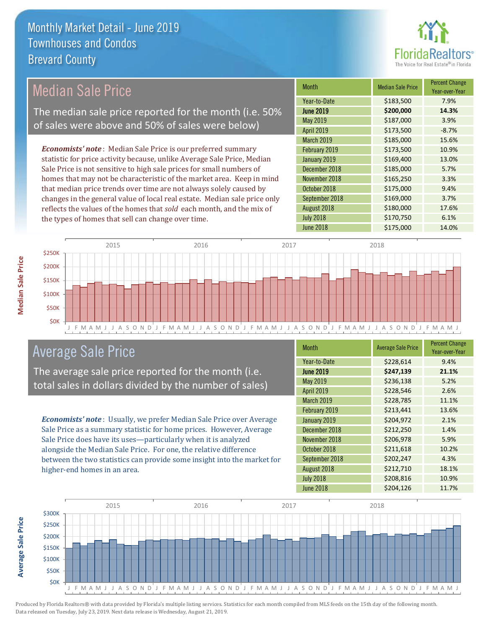

## Median Sale Price

The median sale price reported for the month (i.e. 50% of sales were above and 50% of sales were below)

*Economists' note* : Median Sale Price is our preferred summary statistic for price activity because, unlike Average Sale Price, Median Sale Price is not sensitive to high sale prices for small numbers of homes that may not be characteristic of the market area. Keep in mind that median price trends over time are not always solely caused by changes in the general value of local real estate. Median sale price only reflects the values of the homes that *sold* each month, and the mix of the types of homes that sell can change over time.

| Month            | <b>Median Sale Price</b> | <b>Percent Change</b><br>Year-over-Year |
|------------------|--------------------------|-----------------------------------------|
| Year-to-Date     | \$183,500                | 7.9%                                    |
| <b>June 2019</b> | \$200,000                | 14.3%                                   |
| May 2019         | \$187,000                | 3.9%                                    |
| April 2019       | \$173,500                | $-8.7%$                                 |
| March 2019       | \$185,000                | 15.6%                                   |
| February 2019    | \$173,500                | 10.9%                                   |
| January 2019     | \$169,400                | 13.0%                                   |
| December 2018    | \$185,000                | 5.7%                                    |
| November 2018    | \$165,250                | 3.3%                                    |
| October 2018     | \$175,000                | 9.4%                                    |
| September 2018   | \$169,000                | 3.7%                                    |
| August 2018      | \$180,000                | 17.6%                                   |
| <b>July 2018</b> | \$170,750                | 6.1%                                    |
| <b>June 2018</b> | \$175,000                | 14.0%                                   |



## Average Sale Price

The average sale price reported for the month (i.e. total sales in dollars divided by the number of sales)

*Economists' note* : Usually, we prefer Median Sale Price over Average Sale Price as a summary statistic for home prices. However, Average Sale Price does have its uses—particularly when it is analyzed alongside the Median Sale Price. For one, the relative difference between the two statistics can provide some insight into the market for higher-end homes in an area.

| <b>Month</b>      | <b>Average Sale Price</b> | <b>Percent Change</b><br>Year-over-Year |
|-------------------|---------------------------|-----------------------------------------|
| Year-to-Date      | \$228,614                 | 9.4%                                    |
| <b>June 2019</b>  | \$247,139                 | 21.1%                                   |
| May 2019          | \$236,138                 | 5.2%                                    |
| <b>April 2019</b> | \$228,546                 | 2.6%                                    |
| March 2019        | \$228,785                 | 11.1%                                   |
| February 2019     | \$213,441                 | 13.6%                                   |
| January 2019      | \$204,972                 | 2.1%                                    |
| December 2018     | \$212,250                 | 1.4%                                    |
| November 2018     | \$206,978                 | 5.9%                                    |
| October 2018      | \$211,618                 | 10.2%                                   |
| September 2018    | \$202,247                 | 4.3%                                    |
| August 2018       | \$212,710                 | 18.1%                                   |
| <b>July 2018</b>  | \$208,816                 | 10.9%                                   |
| <b>June 2018</b>  | \$204,126                 | 11.7%                                   |



Produced by Florida Realtors® with data provided by Florida's multiple listing services. Statistics for each month compiled from MLS feeds on the 15th day of the following month. Data released on Tuesday, July 23, 2019. Next data release is Wednesday, August 21, 2019.

**Average Sale Price**

Average Sale Price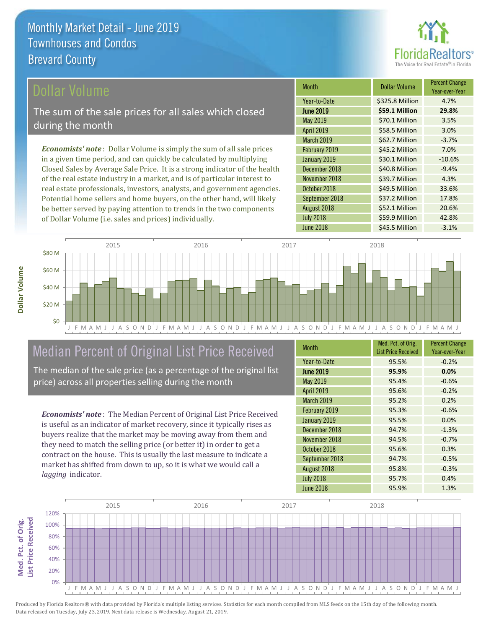

#### ollar Volume

The sum of the sale prices for all sales which closed during the month

*Economists' note* : Dollar Volume is simply the sum of all sale prices in a given time period, and can quickly be calculated by multiplying Closed Sales by Average Sale Price. It is a strong indicator of the health of the real estate industry in a market, and is of particular interest to real estate professionals, investors, analysts, and government agencies. Potential home sellers and home buyers, on the other hand, will likely be better served by paying attention to trends in the two components of Dollar Volume (i.e. sales and prices) individually.

| <b>Month</b>      | Dollar Volume   | <b>Percent Change</b><br>Year-over-Year |
|-------------------|-----------------|-----------------------------------------|
| Year-to-Date      | \$325.8 Million | 4.7%                                    |
| <b>June 2019</b>  | \$59.1 Million  | 29.8%                                   |
| May 2019          | \$70.1 Million  | 3.5%                                    |
| April 2019        | \$58.5 Million  | 3.0%                                    |
| <b>March 2019</b> | \$62.7 Million  | $-3.7%$                                 |
| February 2019     | \$45.2 Million  | 7.0%                                    |
| January 2019      | \$30.1 Million  | $-10.6%$                                |
| December 2018     | \$40.8 Million  | $-9.4%$                                 |
| November 2018     | \$39.7 Million  | 4.3%                                    |
| October 2018      | \$49.5 Million  | 33.6%                                   |
| September 2018    | \$37.2 Million  | 17.8%                                   |
| August 2018       | \$52.1 Million  | 20.6%                                   |
| <b>July 2018</b>  | \$59.9 Million  | 42.8%                                   |
| June 2018         | \$45.5 Million  | $-3.1%$                                 |



# Median Percent of Original List Price Received

The median of the sale price (as a percentage of the original list price) across all properties selling during the month

*Economists' note* : The Median Percent of Original List Price Received is useful as an indicator of market recovery, since it typically rises as buyers realize that the market may be moving away from them and they need to match the selling price (or better it) in order to get a contract on the house. This is usually the last measure to indicate a market has shifted from down to up, so it is what we would call a *lagging* indicator.

| <b>Month</b>      | Med. Pct. of Orig.<br><b>List Price Received</b> | <b>Percent Change</b><br>Year-over-Year |
|-------------------|--------------------------------------------------|-----------------------------------------|
| Year-to-Date      | 95.5%                                            | $-0.2%$                                 |
| <b>June 2019</b>  | 95.9%                                            | 0.0%                                    |
| <b>May 2019</b>   | 95.4%                                            | $-0.6%$                                 |
| <b>April 2019</b> | 95.6%                                            | $-0.2%$                                 |
| March 2019        | 95.2%                                            | 0.2%                                    |
| February 2019     | 95.3%                                            | $-0.6%$                                 |
| January 2019      | 95.5%                                            | 0.0%                                    |
| December 2018     | 94.7%                                            | $-1.3%$                                 |
| November 2018     | 94.5%                                            | $-0.7%$                                 |
| October 2018      | 95.6%                                            | 0.3%                                    |
| September 2018    | 94.7%                                            | $-0.5%$                                 |
| August 2018       | 95.8%                                            | $-0.3%$                                 |
| <b>July 2018</b>  | 95.7%                                            | 0.4%                                    |
| <b>June 2018</b>  | 95.9%                                            | 1.3%                                    |

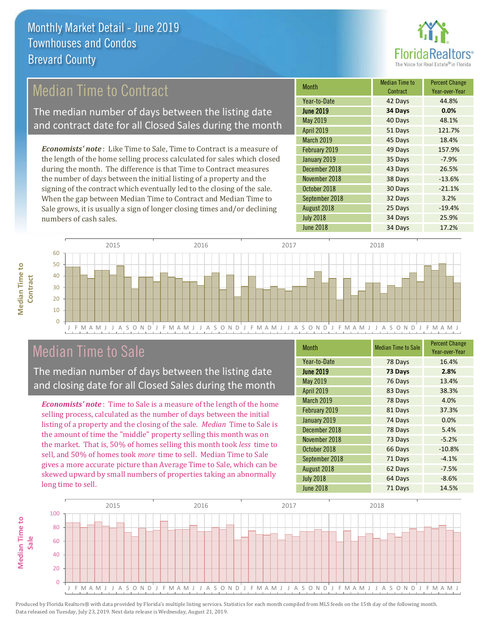

## Median Time to Contract

The median number of days between the listing date and contract date for all Closed Sales during the month

*Economists' note* : Like Time to Sale, Time to Contract is a measure of the length of the home selling process calculated for sales which closed during the month. The difference is that Time to Contract measures the number of days between the initial listing of a property and the signing of the contract which eventually led to the closing of the sale. When the gap between Median Time to Contract and Median Time to Sale grows, it is usually a sign of longer closing times and/or declining numbers of cash sales.

| <b>Month</b>      | <b>Median Time to</b><br>Contract | <b>Percent Change</b><br>Year-over-Year |
|-------------------|-----------------------------------|-----------------------------------------|
| Year-to-Date      | 42 Days                           | 44.8%                                   |
| <b>June 2019</b>  | 34 Days                           | 0.0%                                    |
| May 2019          | 40 Days                           | 48.1%                                   |
| <b>April 2019</b> | 51 Days                           | 121.7%                                  |
| <b>March 2019</b> | 45 Days                           | 18.4%                                   |
| February 2019     | 49 Days                           | 157.9%                                  |
| January 2019      | 35 Days                           | $-7.9%$                                 |
| December 2018     | 43 Days                           | 26.5%                                   |
| November 2018     | 38 Days                           | $-13.6%$                                |
| October 2018      | 30 Days                           | $-21.1%$                                |
| September 2018    | 32 Days                           | 3.2%                                    |
| August 2018       | 25 Days                           | $-19.4%$                                |
| <b>July 2018</b>  | 34 Days                           | 25.9%                                   |
| <b>June 2018</b>  | 34 Days                           | 17.2%                                   |



## Median Time to Sale

**Median Time to** 

**Median Time to** 

The median number of days between the listing date and closing date for all Closed Sales during the month

*Economists' note* : Time to Sale is a measure of the length of the home selling process, calculated as the number of days between the initial listing of a property and the closing of the sale. *Median* Time to Sale is the amount of time the "middle" property selling this month was on the market. That is, 50% of homes selling this month took *less* time to sell, and 50% of homes took *more* time to sell. Median Time to Sale gives a more accurate picture than Average Time to Sale, which can be skewed upward by small numbers of properties taking an abnormally long time to sell.

| <b>Month</b>      | <b>Median Time to Sale</b> | <b>Percent Change</b><br>Year-over-Year |
|-------------------|----------------------------|-----------------------------------------|
| Year-to-Date      | 78 Days                    | 16.4%                                   |
| <b>June 2019</b>  | 73 Days                    | 2.8%                                    |
| <b>May 2019</b>   | 76 Days                    | 13.4%                                   |
| <b>April 2019</b> | 83 Days                    | 38.3%                                   |
| <b>March 2019</b> | 78 Days                    | 4.0%                                    |
| February 2019     | 81 Days                    | 37.3%                                   |
| January 2019      | 74 Days                    | 0.0%                                    |
| December 2018     | 78 Days                    | 5.4%                                    |
| November 2018     | 73 Days                    | $-5.2%$                                 |
| October 2018      | 66 Days                    | $-10.8%$                                |
| September 2018    | 71 Days                    | $-4.1%$                                 |
| August 2018       | 62 Days                    | $-7.5%$                                 |
| <b>July 2018</b>  | 64 Days                    | $-8.6%$                                 |
| <b>June 2018</b>  | 71 Days                    | 14.5%                                   |

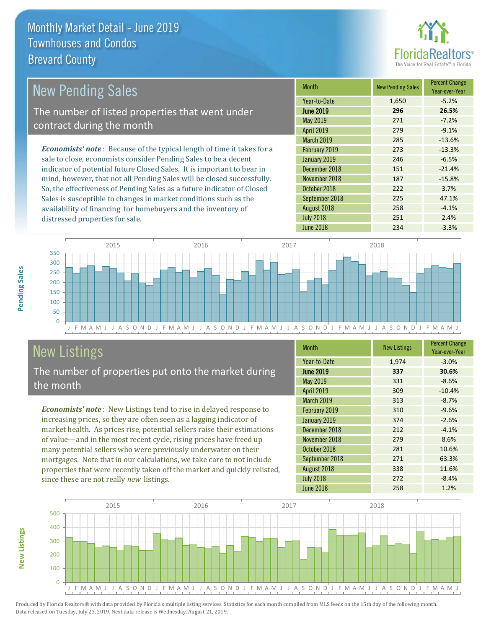distressed properties for sale.



| <b>New Pending Sales</b>                                                       | <b>Month</b>      | <b>New Pending Sales</b> | <b>Percent Change</b><br>Year-over-Year |
|--------------------------------------------------------------------------------|-------------------|--------------------------|-----------------------------------------|
|                                                                                | Year-to-Date      | 1,650                    | $-5.2%$                                 |
| The number of listed properties that went under                                | <b>June 2019</b>  | 296                      | 26.5%                                   |
| contract during the month                                                      | May 2019          | 271                      | $-7.2%$                                 |
|                                                                                | <b>April 2019</b> | 279                      | $-9.1%$                                 |
|                                                                                | <b>March 2019</b> | 285                      | $-13.6%$                                |
| <b>Economists' note</b> : Because of the typical length of time it takes for a | February 2019     | 273                      | $-13.3%$                                |
| sale to close, economists consider Pending Sales to be a decent                | January 2019      | 246                      | $-6.5%$                                 |
| indicator of potential future Closed Sales. It is important to bear in         | December 2018     | 151                      | $-21.4%$                                |
| mind, however, that not all Pending Sales will be closed successfully.         | November 2018     | 187                      | $-15.8%$                                |
| So, the effectiveness of Pending Sales as a future indicator of Closed         | October 2018      | 222                      | 3.7%                                    |
| Sales is susceptible to changes in market conditions such as the               | September 2018    | 225                      | 47.1%                                   |



## New Listings

The number of properties put onto the market during the month

availability of financing for homebuyers and the inventory of

*Economists' note* : New Listings tend to rise in delayed response to increasing prices, so they are often seen as a lagging indicator of market health. As prices rise, potential sellers raise their estimations of value—and in the most recent cycle, rising prices have freed up many potential sellers who were previously underwater on their mortgages. Note that in our calculations, we take care to not include properties that were recently taken off the market and quickly relisted, since these are not really *new* listings.

| <b>Month</b>      | <b>New Listings</b> | <b>Percent Change</b><br>Year-over-Year |
|-------------------|---------------------|-----------------------------------------|
| Year-to-Date      | 1,974               | $-3.0%$                                 |
| <b>June 2019</b>  | 337                 | 30.6%                                   |
| May 2019          | 331                 | $-8.6%$                                 |
| April 2019        | 309                 | $-10.4%$                                |
| <b>March 2019</b> | 313                 | $-8.7%$                                 |
| February 2019     | 310                 | $-9.6%$                                 |
| January 2019      | 374                 | $-2.6%$                                 |
| December 2018     | 212                 | $-4.1%$                                 |
| November 2018     | 279                 | 8.6%                                    |
| October 2018      | 281                 | 10.6%                                   |
| September 2018    | 271                 | 63.3%                                   |
| August 2018       | 338                 | 11.6%                                   |
| <b>July 2018</b>  | 272                 | $-8.4%$                                 |
| <b>June 2018</b>  | 258                 | 1.2%                                    |

August 2018 **258** -4.1% July 2018 251 2.4% June 2018 234 234 3.3%



**New Listings**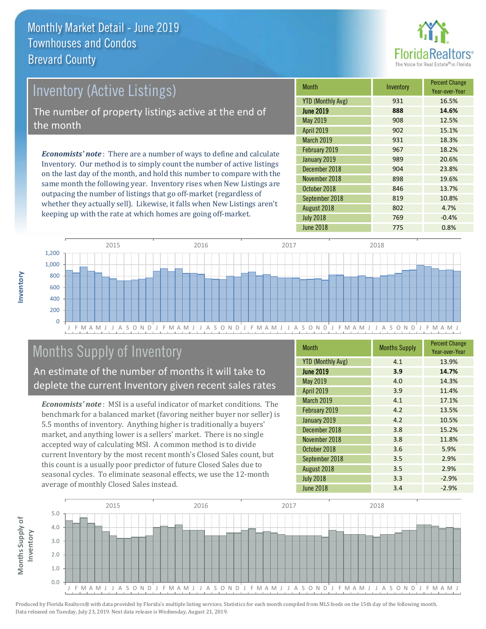

# Inventory (Active Listings) The number of property listings active at the end of the month

*Economists' note* : There are a number of ways to define and calculate Inventory. Our method is to simply count the number of active listings on the last day of the month, and hold this number to compare with the same month the following year. Inventory rises when New Listings are outpacing the number of listings that go off-market (regardless of whether they actually sell). Likewise, it falls when New Listings aren't keeping up with the rate at which homes are going off-market.

| <b>Month</b>             | Inventory | <b>Percent Change</b><br>Year-over-Year |
|--------------------------|-----------|-----------------------------------------|
| <b>YTD (Monthly Avg)</b> | 931       | 16.5%                                   |
| <b>June 2019</b>         | 888       | 14.6%                                   |
| May 2019                 | 908       | 12.5%                                   |
| <b>April 2019</b>        | 902       | 15.1%                                   |
| <b>March 2019</b>        | 931       | 18.3%                                   |
| February 2019            | 967       | 18.2%                                   |
| January 2019             | 989       | 20.6%                                   |
| December 2018            | 904       | 23.8%                                   |
| November 2018            | 898       | 19.6%                                   |
| October 2018             | 846       | 13.7%                                   |
| September 2018           | 819       | 10.8%                                   |
| August 2018              | 802       | 4.7%                                    |
| <b>July 2018</b>         | 769       | $-0.4%$                                 |
| <b>June 2018</b>         | 775       | 0.8%                                    |



## Months Supply of Inventory

An estimate of the number of months it will take to deplete the current Inventory given recent sales rates

*Economists' note* : MSI is a useful indicator of market conditions. The benchmark for a balanced market (favoring neither buyer nor seller) is 5.5 months of inventory. Anything higher is traditionally a buyers' market, and anything lower is a sellers' market. There is no single accepted way of calculating MSI. A common method is to divide current Inventory by the most recent month's Closed Sales count, but this count is a usually poor predictor of future Closed Sales due to seasonal cycles. To eliminate seasonal effects, we use the 12-month average of monthly Closed Sales instead.

| Month                    | <b>Months Supply</b> | <b>Percent Change</b><br>Year-over-Year |
|--------------------------|----------------------|-----------------------------------------|
| <b>YTD (Monthly Avg)</b> | 4.1                  | 13.9%                                   |
| <b>June 2019</b>         | 3.9                  | 14.7%                                   |
| May 2019                 | 4.0                  | 14.3%                                   |
| April 2019               | 3.9                  | 11.4%                                   |
| <b>March 2019</b>        | 4.1                  | 17.1%                                   |
| February 2019            | 4.2                  | 13.5%                                   |
| January 2019             | 4.2                  | 10.5%                                   |
| December 2018            | 3.8                  | 15.2%                                   |
| November 2018            | 3.8                  | 11.8%                                   |
| October 2018             | 3.6                  | 5.9%                                    |
| September 2018           | 3.5                  | 2.9%                                    |
| August 2018              | 3.5                  | 2.9%                                    |
| <b>July 2018</b>         | 3.3                  | $-2.9%$                                 |
| <b>June 2018</b>         | 3.4                  | $-2.9%$                                 |

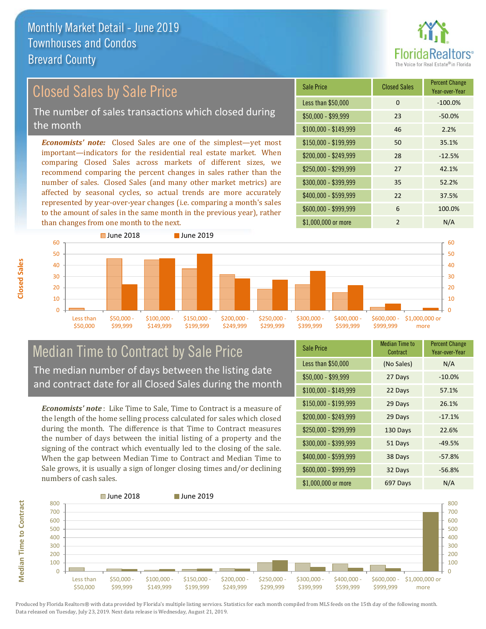

## Closed Sales by Sale Price

The number of sales transactions which closed during the month

*Economists' note:* Closed Sales are one of the simplest—yet most important—indicators for the residential real estate market. When comparing Closed Sales across markets of different sizes, we recommend comparing the percent changes in sales rather than the number of sales. Closed Sales (and many other market metrics) are affected by seasonal cycles, so actual trends are more accurately represented by year-over-year changes (i.e. comparing a month's sales to the amount of sales in the same month in the previous year), rather than changes from one month to the next.





#### Median Time to Contract by Sale Price The median number of days between the listing date and contract date for all Closed Sales during the month

*Economists' note* : Like Time to Sale, Time to Contract is a measure of the length of the home selling process calculated for sales which closed during the month. The difference is that Time to Contract measures the number of days between the initial listing of a property and the signing of the contract which eventually led to the closing of the sale. When the gap between Median Time to Contract and Median Time to Sale grows, it is usually a sign of longer closing times and/or declining numbers of cash sales.

| <b>Sale Price</b>     | Median Time to<br>Contract | <b>Percent Change</b><br>Year-over-Year |
|-----------------------|----------------------------|-----------------------------------------|
| Less than \$50,000    | (No Sales)                 | N/A                                     |
| $$50,000 - $99,999$   | 27 Days                    | $-10.0%$                                |
| $$100,000 - $149,999$ | 22 Days                    | 57.1%                                   |
| $$150,000 - $199,999$ | 29 Days                    | 26.1%                                   |
| \$200,000 - \$249,999 | 29 Days                    | $-17.1%$                                |
| \$250,000 - \$299,999 | 130 Days                   | 22.6%                                   |
| \$300,000 - \$399,999 | 51 Days                    | $-49.5%$                                |
| \$400,000 - \$599,999 | 38 Days                    | $-57.8%$                                |
| \$600,000 - \$999,999 | 32 Days                    | $-56.8%$                                |
| \$1,000,000 or more   | 697 Days                   | N/A                                     |



Produced by Florida Realtors® with data provided by Florida's multiple listing services. Statistics for each month compiled from MLS feeds on the 15th day of the following month. Data released on Tuesday, July 23, 2019. Next data release is Wednesday, August 21, 2019.

**Median Time to Contract**

**Median Time to Contract**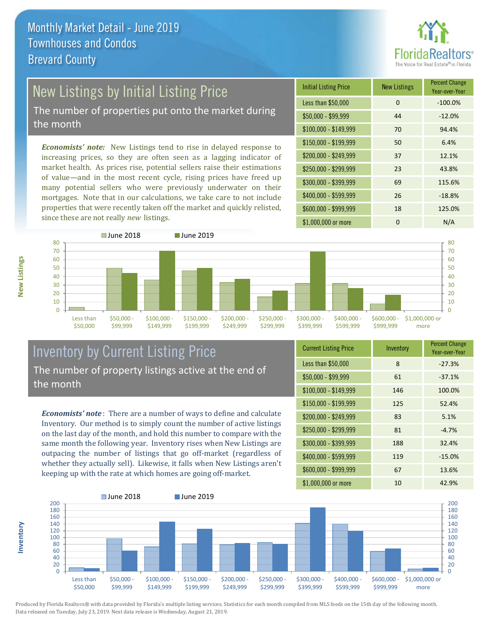

# New Listings by Initial Listing Price

The number of properties put onto the market during the month

*Economists' note:* New Listings tend to rise in delayed response to increasing prices, so they are often seen as a lagging indicator of market health. As prices rise, potential sellers raise their estimations of value—and in the most recent cycle, rising prices have freed up many potential sellers who were previously underwater on their mortgages. Note that in our calculations, we take care to not include properties that were recently taken off the market and quickly relisted, since these are not really *new* listings.

| <b>Initial Listing Price</b> | <b>New Listings</b> | <b>Percent Change</b><br>Year-over-Year |
|------------------------------|---------------------|-----------------------------------------|
| Less than \$50,000           | 0                   | $-100.0%$                               |
| \$50,000 - \$99,999          | 44                  | $-12.0%$                                |
| $$100,000 - $149,999$        | 70                  | 94.4%                                   |
| $$150,000 - $199,999$        | 50                  | 6.4%                                    |
| \$200,000 - \$249,999        | 37                  | 12.1%                                   |
| \$250,000 - \$299,999        | 23                  | 43.8%                                   |
| \$300,000 - \$399,999        | 69                  | 115.6%                                  |
| \$400,000 - \$599,999        | 26                  | $-18.8%$                                |
| \$600,000 - \$999,999        | 18                  | 125.0%                                  |
| \$1,000,000 or more          | 0                   | N/A                                     |



#### Inventory by Current Listing Price The number of property listings active at the end of the month

*Economists' note* : There are a number of ways to define and calculate Inventory. Our method is to simply count the number of active listings on the last day of the month, and hold this number to compare with the same month the following year. Inventory rises when New Listings are outpacing the number of listings that go off-market (regardless of whether they actually sell). Likewise, it falls when New Listings aren't keeping up with the rate at which homes are going off-market.

| <b>Current Listing Price</b> | Inventory | <b>Percent Change</b><br>Year-over-Year |
|------------------------------|-----------|-----------------------------------------|
| Less than \$50,000           | 8         | $-27.3%$                                |
| $$50,000 - $99,999$          | 61        | $-37.1%$                                |
| $$100,000 - $149,999$        | 146       | 100.0%                                  |
| $$150,000 - $199,999$        | 125       | 52.4%                                   |
| \$200,000 - \$249,999        | 83        | 5.1%                                    |
| \$250,000 - \$299,999        | 81        | $-4.7%$                                 |
| \$300,000 - \$399,999        | 188       | 32.4%                                   |
| \$400,000 - \$599,999        | 119       | $-15.0%$                                |
| \$600,000 - \$999,999        | 67        | 13.6%                                   |
| \$1,000,000 or more          | 10        | 42.9%                                   |



Produced by Florida Realtors® with data provided by Florida's multiple listing services. Statistics for each month compiled from MLS feeds on the 15th day of the following month. Data released on Tuesday, July 23, 2019. Next data release is Wednesday, August 21, 2019.

**Inventory**